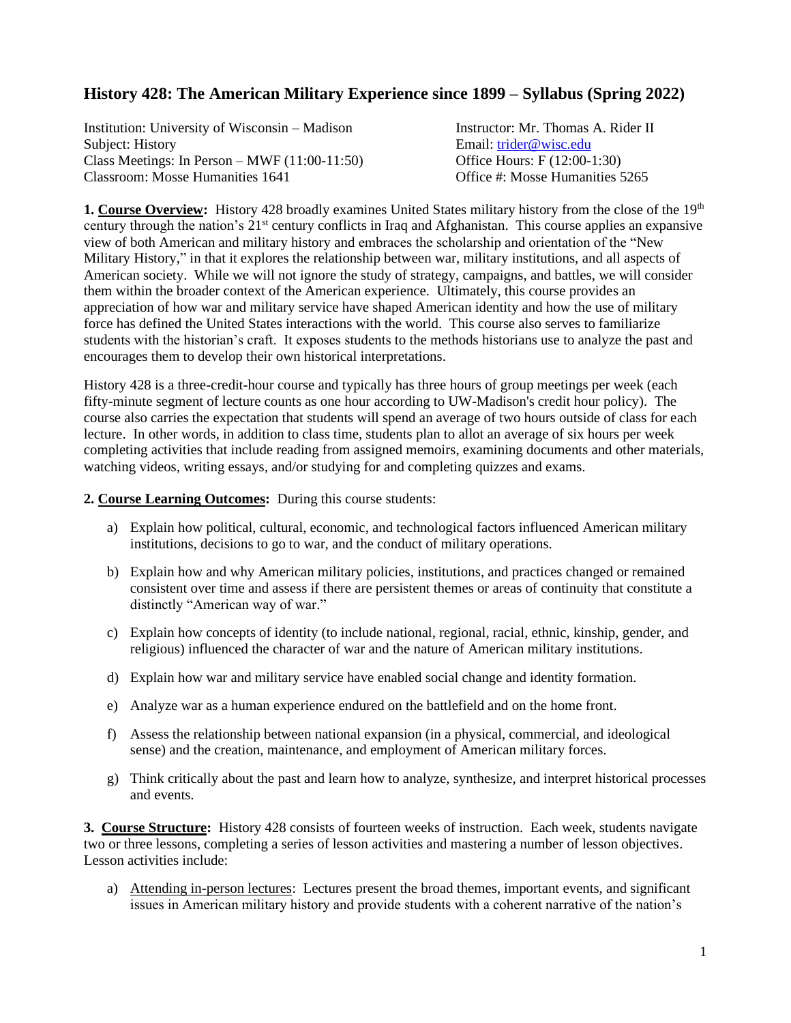# **History 428: The American Military Experience since 1899 – Syllabus (Spring 2022)**

Institution: University of Wisconsin – Madison Instructor: Mr. Thomas A. Rider II Subject: History **Email:** [trider@wisc.edu](mailto:trider@wisc.edu) Class Meetings: In Person – MWF (11:00-11:50) Office Hours: F (12:00-1:30) Classroom: Mosse Humanities 1641 Office #: Mosse Humanities 5265

**1. Course Overview:** History 428 broadly examines United States military history from the close of the 19th century through the nation's 21<sup>st</sup> century conflicts in Iraq and Afghanistan. This course applies an expansive view of both American and military history and embraces the scholarship and orientation of the "New Military History," in that it explores the relationship between war, military institutions, and all aspects of American society. While we will not ignore the study of strategy, campaigns, and battles, we will consider them within the broader context of the American experience. Ultimately, this course provides an appreciation of how war and military service have shaped American identity and how the use of military force has defined the United States interactions with the world. This course also serves to familiarize students with the historian's craft. It exposes students to the methods historians use to analyze the past and encourages them to develop their own historical interpretations.

History 428 is a three-credit-hour course and typically has three hours of group meetings per week (each fifty-minute segment of lecture counts as one hour according to UW-Madison's credit hour policy). The course also carries the expectation that students will spend an average of two hours outside of class for each lecture. In other words, in addition to class time, students plan to allot an average of six hours per week completing activities that include reading from assigned memoirs, examining documents and other materials, watching videos, writing essays, and/or studying for and completing quizzes and exams.

#### **2. Course Learning Outcomes:** During this course students:

- a) Explain how political, cultural, economic, and technological factors influenced American military institutions, decisions to go to war, and the conduct of military operations.
- b) Explain how and why American military policies, institutions, and practices changed or remained consistent over time and assess if there are persistent themes or areas of continuity that constitute a distinctly "American way of war."
- c) Explain how concepts of identity (to include national, regional, racial, ethnic, kinship, gender, and religious) influenced the character of war and the nature of American military institutions.
- d) Explain how war and military service have enabled social change and identity formation.
- e) Analyze war as a human experience endured on the battlefield and on the home front.
- f) Assess the relationship between national expansion (in a physical, commercial, and ideological sense) and the creation, maintenance, and employment of American military forces.
- g) Think critically about the past and learn how to analyze, synthesize, and interpret historical processes and events.

**3. Course Structure:** History 428 consists of fourteen weeks of instruction. Each week, students navigate two or three lessons, completing a series of lesson activities and mastering a number of lesson objectives. Lesson activities include:

a) Attending in-person lectures: Lectures present the broad themes, important events, and significant issues in American military history and provide students with a coherent narrative of the nation's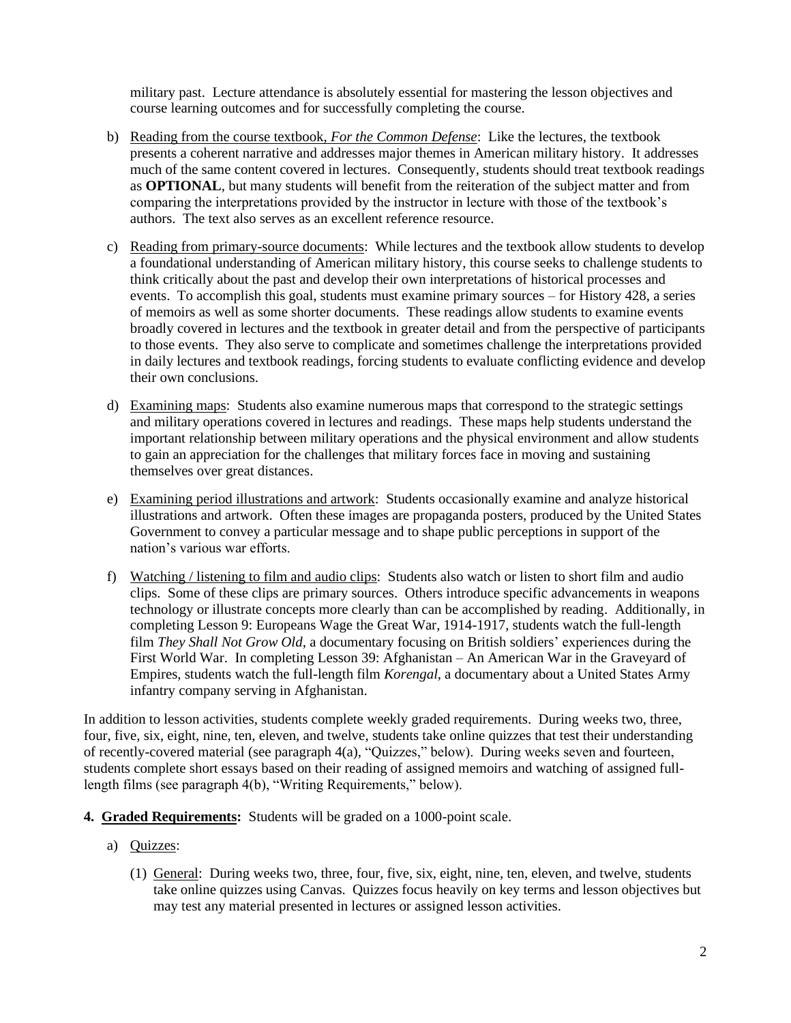military past. Lecture attendance is absolutely essential for mastering the lesson objectives and course learning outcomes and for successfully completing the course.

- b) Reading from the course textbook, *For the Common Defense*: Like the lectures, the textbook presents a coherent narrative and addresses major themes in American military history. It addresses much of the same content covered in lectures. Consequently, students should treat textbook readings as **OPTIONAL**, but many students will benefit from the reiteration of the subject matter and from comparing the interpretations provided by the instructor in lecture with those of the textbook's authors. The text also serves as an excellent reference resource.
- c) Reading from primary-source documents: While lectures and the textbook allow students to develop a foundational understanding of American military history, this course seeks to challenge students to think critically about the past and develop their own interpretations of historical processes and events. To accomplish this goal, students must examine primary sources – for History 428, a series of memoirs as well as some shorter documents. These readings allow students to examine events broadly covered in lectures and the textbook in greater detail and from the perspective of participants to those events. They also serve to complicate and sometimes challenge the interpretations provided in daily lectures and textbook readings, forcing students to evaluate conflicting evidence and develop their own conclusions.
- d) Examining maps: Students also examine numerous maps that correspond to the strategic settings and military operations covered in lectures and readings. These maps help students understand the important relationship between military operations and the physical environment and allow students to gain an appreciation for the challenges that military forces face in moving and sustaining themselves over great distances.
- e) Examining period illustrations and artwork: Students occasionally examine and analyze historical illustrations and artwork. Often these images are propaganda posters, produced by the United States Government to convey a particular message and to shape public perceptions in support of the nation's various war efforts.
- f) Watching / listening to film and audio clips: Students also watch or listen to short film and audio clips. Some of these clips are primary sources. Others introduce specific advancements in weapons technology or illustrate concepts more clearly than can be accomplished by reading. Additionally, in completing Lesson 9: Europeans Wage the Great War, 1914-1917, students watch the full-length film *They Shall Not Grow Old*, a documentary focusing on British soldiers' experiences during the First World War. In completing Lesson 39: Afghanistan – An American War in the Graveyard of Empires, students watch the full-length film *Korengal*, a documentary about a United States Army infantry company serving in Afghanistan.

In addition to lesson activities, students complete weekly graded requirements. During weeks two, three, four, five, six, eight, nine, ten, eleven, and twelve, students take online quizzes that test their understanding of recently-covered material (see paragraph 4(a), "Quizzes," below). During weeks seven and fourteen, students complete short essays based on their reading of assigned memoirs and watching of assigned fulllength films (see paragraph 4(b), "Writing Requirements," below).

- **4. Graded Requirements:** Students will be graded on a 1000-point scale.
	- a) Quizzes:
		- (1) General: During weeks two, three, four, five, six, eight, nine, ten, eleven, and twelve, students take online quizzes using Canvas. Quizzes focus heavily on key terms and lesson objectives but may test any material presented in lectures or assigned lesson activities.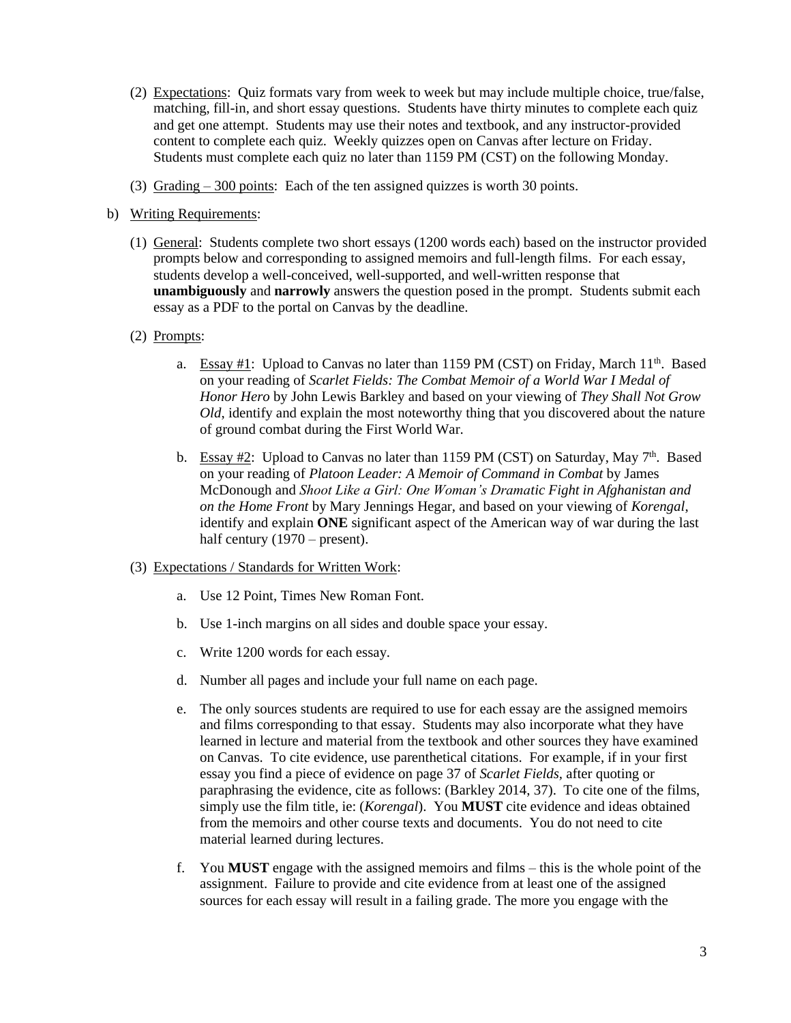- (2) Expectations: Quiz formats vary from week to week but may include multiple choice, true/false, matching, fill-in, and short essay questions. Students have thirty minutes to complete each quiz and get one attempt. Students may use their notes and textbook, and any instructor-provided content to complete each quiz. Weekly quizzes open on Canvas after lecture on Friday. Students must complete each quiz no later than 1159 PM (CST) on the following Monday.
- (3) Grading 300 points: Each of the ten assigned quizzes is worth 30 points.
- b) Writing Requirements:
	- (1) General: Students complete two short essays (1200 words each) based on the instructor provided prompts below and corresponding to assigned memoirs and full-length films. For each essay, students develop a well-conceived, well-supported, and well-written response that **unambiguously** and **narrowly** answers the question posed in the prompt. Students submit each essay as a PDF to the portal on Canvas by the deadline.
	- (2) Prompts:
		- a. Essay  $\#1$ : Upload to Canvas no later than 1159 PM (CST) on Friday, March 11<sup>th</sup>. Based on your reading of *Scarlet Fields: The Combat Memoir of a World War I Medal of Honor Hero* by John Lewis Barkley and based on your viewing of *They Shall Not Grow Old*, identify and explain the most noteworthy thing that you discovered about the nature of ground combat during the First World War.
		- b. Essay  $\#2$ : Upload to Canvas no later than 1159 PM (CST) on Saturday, May  $7<sup>th</sup>$ . Based on your reading of *Platoon Leader: A Memoir of Command in Combat* by James McDonough and *Shoot Like a Girl: One Woman's Dramatic Fight in Afghanistan and on the Home Front* by Mary Jennings Hegar, and based on your viewing of *Korengal*, identify and explain **ONE** significant aspect of the American way of war during the last half century (1970 – present).
	- (3) Expectations / Standards for Written Work:
		- a. Use 12 Point, Times New Roman Font.
		- b. Use 1-inch margins on all sides and double space your essay.
		- c. Write 1200 words for each essay.
		- d. Number all pages and include your full name on each page.
		- e. The only sources students are required to use for each essay are the assigned memoirs and films corresponding to that essay. Students may also incorporate what they have learned in lecture and material from the textbook and other sources they have examined on Canvas. To cite evidence, use parenthetical citations. For example, if in your first essay you find a piece of evidence on page 37 of *Scarlet Fields,* after quoting or paraphrasing the evidence, cite as follows: (Barkley 2014, 37). To cite one of the films, simply use the film title, ie: (*Korengal*). You **MUST** cite evidence and ideas obtained from the memoirs and other course texts and documents. You do not need to cite material learned during lectures.
		- f. You **MUST** engage with the assigned memoirs and films this is the whole point of the assignment. Failure to provide and cite evidence from at least one of the assigned sources for each essay will result in a failing grade. The more you engage with the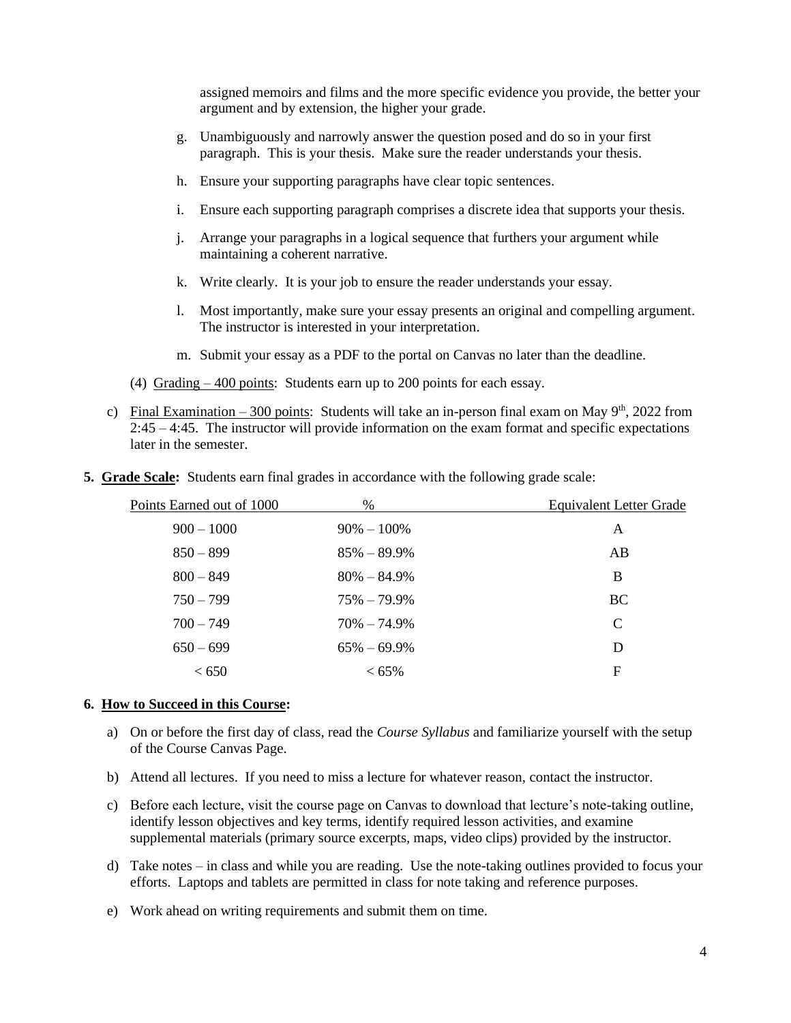assigned memoirs and films and the more specific evidence you provide, the better your argument and by extension, the higher your grade.

- g. Unambiguously and narrowly answer the question posed and do so in your first paragraph. This is your thesis. Make sure the reader understands your thesis.
- h. Ensure your supporting paragraphs have clear topic sentences.
- i. Ensure each supporting paragraph comprises a discrete idea that supports your thesis.
- j. Arrange your paragraphs in a logical sequence that furthers your argument while maintaining a coherent narrative.
- k. Write clearly. It is your job to ensure the reader understands your essay.
- l. Most importantly, make sure your essay presents an original and compelling argument. The instructor is interested in your interpretation.
- m. Submit your essay as a PDF to the portal on Canvas no later than the deadline.
- (4) Grading 400 points: Students earn up to 200 points for each essay.
- c) Final Examination 300 points: Students will take an in-person final exam on May  $9<sup>th</sup>$ , 2022 from 2:45 – 4:45. The instructor will provide information on the exam format and specific expectations later in the semester.

| Points Earned out of 1000 | $\%$            | <b>Equivalent Letter Grade</b> |
|---------------------------|-----------------|--------------------------------|
| $900 - 1000$              | $90\% - 100\%$  | A                              |
| $850 - 899$               | $85\% - 89.9\%$ | AB                             |
| $800 - 849$               | $80\% - 84.9\%$ | B                              |
| $750 - 799$               | $75\% - 79.9\%$ | <b>BC</b>                      |
| $700 - 749$               | $70\% - 74.9\%$ | $\mathsf{C}$                   |
| $650 - 699$               | $65\% - 69.9\%$ | D                              |
| < 650                     | $< 65\%$        | F                              |

**5. Grade Scale:** Students earn final grades in accordance with the following grade scale:

#### **6. How to Succeed in this Course:**

- a) On or before the first day of class, read the *Course Syllabus* and familiarize yourself with the setup of the Course Canvas Page.
- b) Attend all lectures. If you need to miss a lecture for whatever reason, contact the instructor.
- c) Before each lecture, visit the course page on Canvas to download that lecture's note-taking outline, identify lesson objectives and key terms, identify required lesson activities, and examine supplemental materials (primary source excerpts, maps, video clips) provided by the instructor.
- d) Take notes in class and while you are reading. Use the note-taking outlines provided to focus your efforts. Laptops and tablets are permitted in class for note taking and reference purposes.
- e) Work ahead on writing requirements and submit them on time.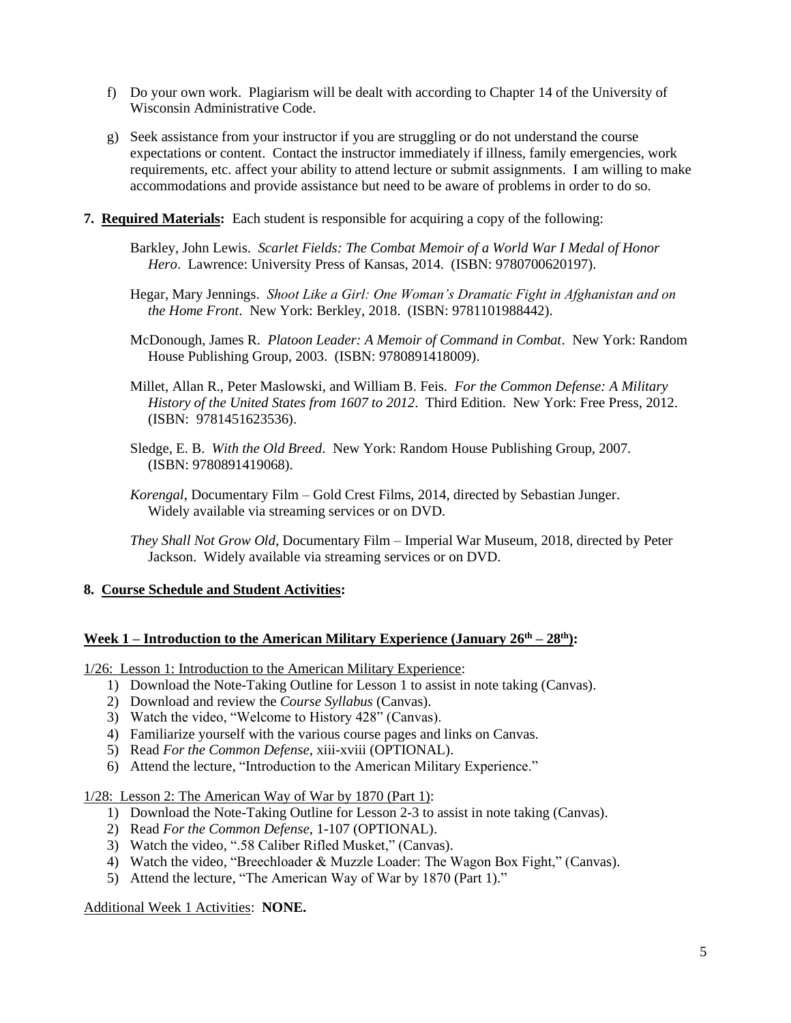- f) Do your own work. Plagiarism will be dealt with according to Chapter 14 of the University of Wisconsin Administrative Code.
- g) Seek assistance from your instructor if you are struggling or do not understand the course expectations or content. Contact the instructor immediately if illness, family emergencies, work requirements, etc. affect your ability to attend lecture or submit assignments. I am willing to make accommodations and provide assistance but need to be aware of problems in order to do so.
- **7. Required Materials:** Each student is responsible for acquiring a copy of the following:
	- Barkley, John Lewis. *Scarlet Fields: The Combat Memoir of a World War I Medal of Honor Hero*. Lawrence: University Press of Kansas, 2014. (ISBN: 9780700620197).
	- Hegar, Mary Jennings. *Shoot Like a Girl: One Woman's Dramatic Fight in Afghanistan and on the Home Front*. New York: Berkley, 2018. (ISBN: 9781101988442).
	- McDonough, James R. *Platoon Leader: A Memoir of Command in Combat*. New York: Random House Publishing Group, 2003. (ISBN: 9780891418009).
	- Millet, Allan R., Peter Maslowski, and William B. Feis. *For the Common Defense: A Military History of the United States from 1607 to 2012*. Third Edition. New York: Free Press, 2012. (ISBN: 9781451623536).
	- Sledge, E. B. *With the Old Breed*. New York: Random House Publishing Group, 2007. (ISBN: 9780891419068).
	- *Korengal*, Documentary Film Gold Crest Films, 2014, directed by Sebastian Junger. Widely available via streaming services or on DVD.
	- *They Shall Not Grow Old*, Documentary Film Imperial War Museum, 2018, directed by Peter Jackson. Widely available via streaming services or on DVD.

#### **8. Course Schedule and Student Activities:**

#### **Week 1 – Introduction to the American Military Experience (January 26 th – 28th):**

1/26: Lesson 1: Introduction to the American Military Experience:

- 1) Download the Note-Taking Outline for Lesson 1 to assist in note taking (Canvas).
- 2) Download and review the *Course Syllabus* (Canvas).
- 3) Watch the video, "Welcome to History 428" (Canvas).
- 4) Familiarize yourself with the various course pages and links on Canvas.
- 5) Read *For the Common Defense*, xiii-xviii (OPTIONAL).
- 6) Attend the lecture, "Introduction to the American Military Experience."

1/28: Lesson 2: The American Way of War by 1870 (Part 1):

- 1) Download the Note-Taking Outline for Lesson 2-3 to assist in note taking (Canvas).
- 2) Read *For the Common Defense*, 1-107 (OPTIONAL).
- 3) Watch the video, ".58 Caliber Rifled Musket," (Canvas).
- 4) Watch the video, "Breechloader & Muzzle Loader: The Wagon Box Fight," (Canvas).
- 5) Attend the lecture, "The American Way of War by 1870 (Part 1)."

Additional Week 1 Activities: **NONE.**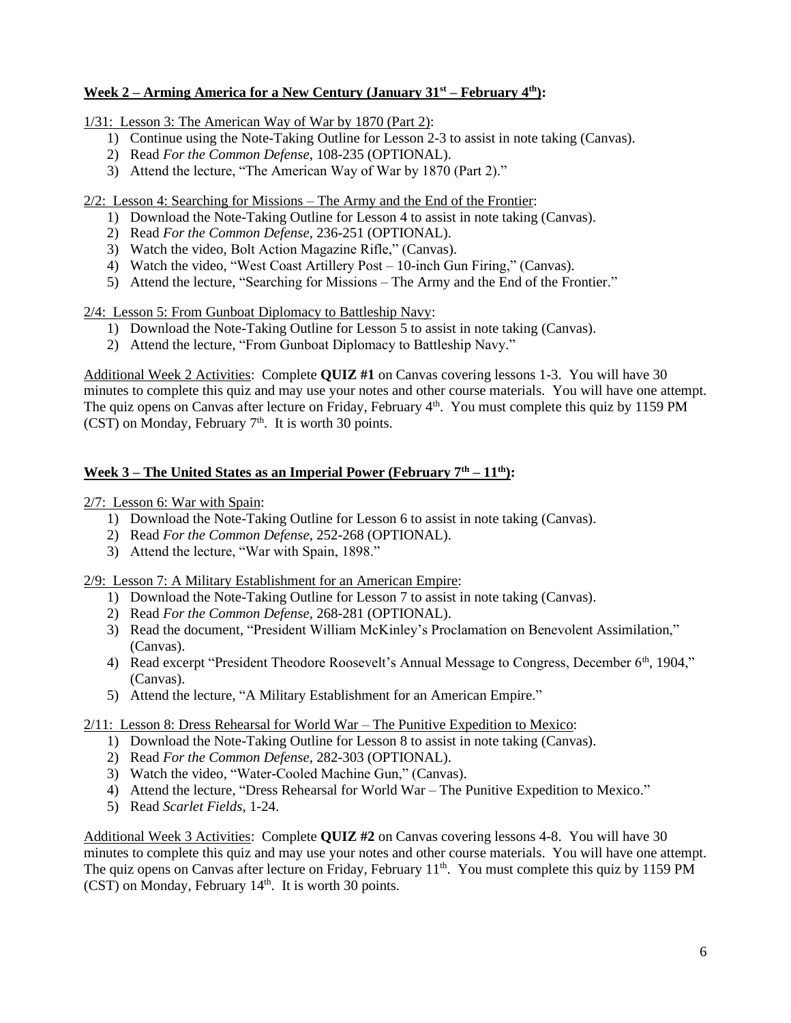## **Week 2 – Arming America for a New Century (January 31st – February 4th):**

1/31: Lesson 3: The American Way of War by 1870 (Part 2):

- 1) Continue using the Note-Taking Outline for Lesson 2-3 to assist in note taking (Canvas).
- 2) Read *For the Common Defense*, 108-235 (OPTIONAL).
- 3) Attend the lecture, "The American Way of War by 1870 (Part 2)."

2/2: Lesson 4: Searching for Missions – The Army and the End of the Frontier:

- 1) Download the Note-Taking Outline for Lesson 4 to assist in note taking (Canvas).
- 2) Read *For the Common Defense*, 236-251 (OPTIONAL).
- 3) Watch the video, Bolt Action Magazine Rifle," (Canvas).
- 4) Watch the video, "West Coast Artillery Post 10-inch Gun Firing," (Canvas).
- 5) Attend the lecture, "Searching for Missions The Army and the End of the Frontier."

2/4: Lesson 5: From Gunboat Diplomacy to Battleship Navy:

- 1) Download the Note-Taking Outline for Lesson 5 to assist in note taking (Canvas).
- 2) Attend the lecture, "From Gunboat Diplomacy to Battleship Navy."

Additional Week 2 Activities: Complete **QUIZ #1** on Canvas covering lessons 1-3. You will have 30 minutes to complete this quiz and may use your notes and other course materials. You will have one attempt. The quiz opens on Canvas after lecture on Friday, February 4<sup>th</sup>. You must complete this quiz by 1159 PM (CST) on Monday, February  $7<sup>th</sup>$ . It is worth 30 points.

## **Week 3 – The United States as an Imperial Power (February 7th – 11th):**

2/7: Lesson 6: War with Spain:

- 1) Download the Note-Taking Outline for Lesson 6 to assist in note taking (Canvas).
- 2) Read *For the Common Defense*, 252-268 (OPTIONAL).
- 3) Attend the lecture, "War with Spain, 1898."

#### 2/9: Lesson 7: A Military Establishment for an American Empire:

- 1) Download the Note-Taking Outline for Lesson 7 to assist in note taking (Canvas).
- 2) Read *For the Common Defense*, 268-281 (OPTIONAL).
- 3) Read the document, "President William McKinley's Proclamation on Benevolent Assimilation," (Canvas).
- 4) Read excerpt "President Theodore Roosevelt's Annual Message to Congress, December 6th, 1904," (Canvas).
- 5) Attend the lecture, "A Military Establishment for an American Empire."

## 2/11: Lesson 8: Dress Rehearsal for World War – The Punitive Expedition to Mexico:

- 1) Download the Note-Taking Outline for Lesson 8 to assist in note taking (Canvas).
- 2) Read *For the Common Defense*, 282-303 (OPTIONAL).
- 3) Watch the video, "Water-Cooled Machine Gun," (Canvas).
- 4) Attend the lecture, "Dress Rehearsal for World War The Punitive Expedition to Mexico."
- 5) Read *Scarlet Fields*, 1-24.

Additional Week 3 Activities: Complete **QUIZ #2** on Canvas covering lessons 4-8. You will have 30 minutes to complete this quiz and may use your notes and other course materials. You will have one attempt. The quiz opens on Canvas after lecture on Friday, February 11<sup>th</sup>. You must complete this quiz by 1159 PM  $(CST)$  on Monday, February 14<sup>th</sup>. It is worth 30 points.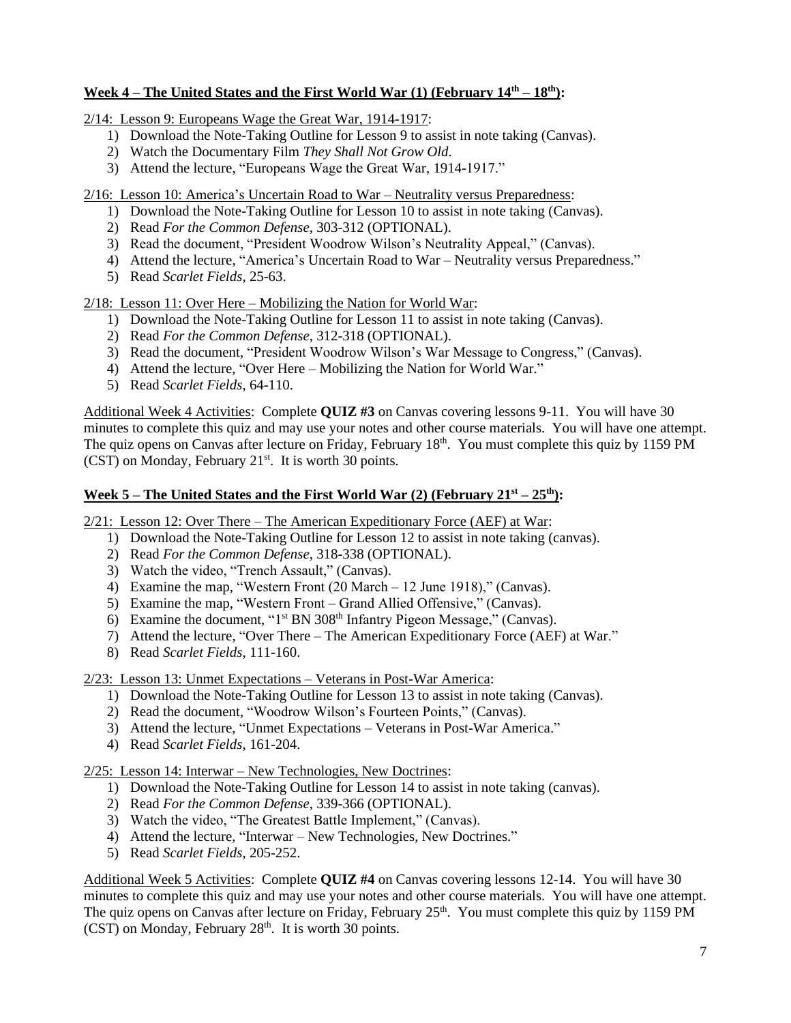## **Week 4 – The United States and the First World War (1) (February 14th – 18 th):**

2/14: Lesson 9: Europeans Wage the Great War, 1914-1917:

- 1) Download the Note-Taking Outline for Lesson 9 to assist in note taking (Canvas).
- 2) Watch the Documentary Film *They Shall Not Grow Old*.
- 3) Attend the lecture, "Europeans Wage the Great War, 1914-1917."

2/16: Lesson 10: America's Uncertain Road to War – Neutrality versus Preparedness:

- 1) Download the Note-Taking Outline for Lesson 10 to assist in note taking (Canvas).
- 2) Read *For the Common Defense*, 303-312 (OPTIONAL).
- 3) Read the document, "President Woodrow Wilson's Neutrality Appeal," (Canvas).
- 4) Attend the lecture, "America's Uncertain Road to War Neutrality versus Preparedness."
- 5) Read *Scarlet Fields*, 25-63.

2/18: Lesson 11: Over Here – Mobilizing the Nation for World War:

- 1) Download the Note-Taking Outline for Lesson 11 to assist in note taking (Canvas).
- 2) Read *For the Common Defense*, 312-318 (OPTIONAL).
- 3) Read the document, "President Woodrow Wilson's War Message to Congress," (Canvas).
- 4) Attend the lecture, "Over Here Mobilizing the Nation for World War."
- 5) Read *Scarlet Fields*, 64-110.

Additional Week 4 Activities: Complete **QUIZ #3** on Canvas covering lessons 9-11. You will have 30 minutes to complete this quiz and may use your notes and other course materials. You will have one attempt. The quiz opens on Canvas after lecture on Friday, February 18<sup>th</sup>. You must complete this quiz by 1159 PM (CST) on Monday, February 21<sup>st</sup>. It is worth 30 points.

### **Week 5 – The United States and the First World War (2) (February 21st – 25th):**

2/21: Lesson 12: Over There – The American Expeditionary Force (AEF) at War:

- 1) Download the Note-Taking Outline for Lesson 12 to assist in note taking (canvas).
- 2) Read *For the Common Defense*, 318-338 (OPTIONAL).
- 3) Watch the video, "Trench Assault," (Canvas).
- 4) Examine the map, "Western Front (20 March 12 June 1918)," (Canvas).
- 5) Examine the map, "Western Front Grand Allied Offensive," (Canvas).
- 6) Examine the document, " $1<sup>st</sup> BN 308<sup>th</sup> Infantry Pigeon Message," (Canvas).$
- 7) Attend the lecture, "Over There The American Expeditionary Force (AEF) at War."
- 8) Read *Scarlet Fields*, 111-160.

2/23: Lesson 13: Unmet Expectations – Veterans in Post-War America:

- 1) Download the Note-Taking Outline for Lesson 13 to assist in note taking (Canvas).
- 2) Read the document, "Woodrow Wilson's Fourteen Points," (Canvas).
- 3) Attend the lecture, "Unmet Expectations Veterans in Post-War America."
- 4) Read *Scarlet Fields*, 161-204.

2/25: Lesson 14: Interwar – New Technologies, New Doctrines:

- 1) Download the Note-Taking Outline for Lesson 14 to assist in note taking (canvas).
- 2) Read *For the Common Defense*, 339-366 (OPTIONAL).
- 3) Watch the video, "The Greatest Battle Implement," (Canvas).
- 4) Attend the lecture, "Interwar New Technologies, New Doctrines."
- 5) Read *Scarlet Fields*, 205-252.

Additional Week 5 Activities: Complete **QUIZ #4** on Canvas covering lessons 12-14. You will have 30 minutes to complete this quiz and may use your notes and other course materials. You will have one attempt. The quiz opens on Canvas after lecture on Friday, February  $25<sup>th</sup>$ . You must complete this quiz by 1159 PM  $(CST)$  on Monday, February 28<sup>th</sup>. It is worth 30 points.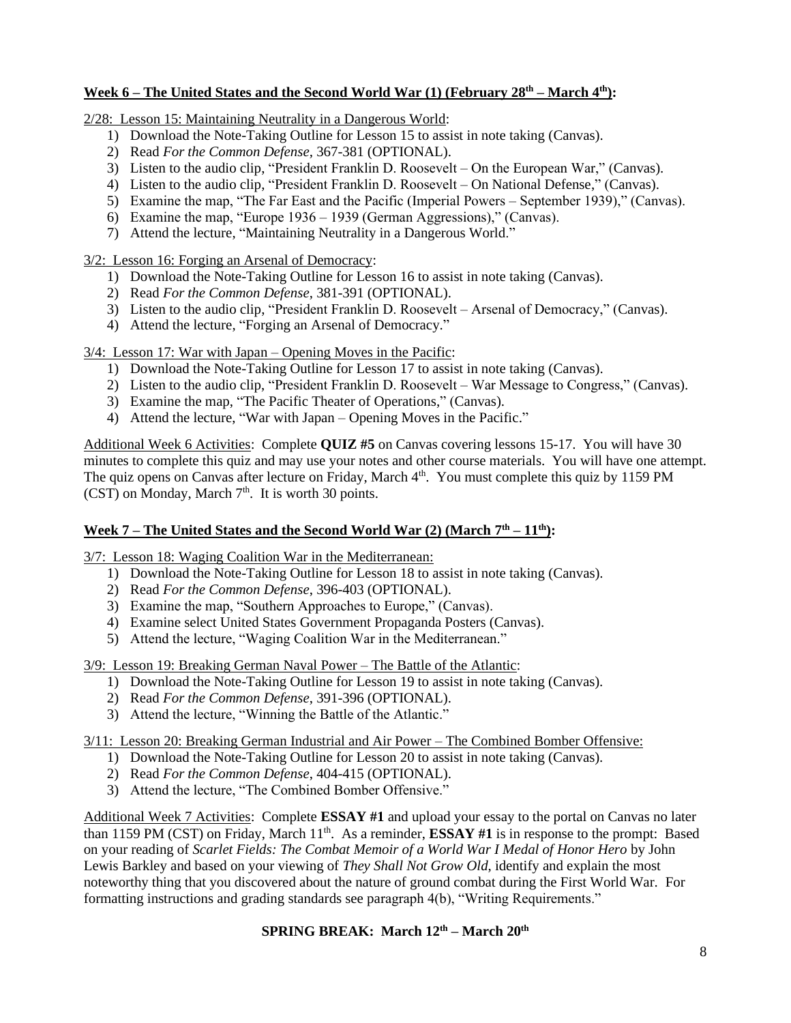## **Week 6 – The United States and the Second World War (1) (February 28 th – March 4th):**

2/28: Lesson 15: Maintaining Neutrality in a Dangerous World:

- 1) Download the Note-Taking Outline for Lesson 15 to assist in note taking (Canvas).
- 2) Read *For the Common Defense,* 367-381 (OPTIONAL).
- 3) Listen to the audio clip, "President Franklin D. Roosevelt On the European War," (Canvas).
- 4) Listen to the audio clip, "President Franklin D. Roosevelt On National Defense," (Canvas).
- 5) Examine the map, "The Far East and the Pacific (Imperial Powers September 1939)," (Canvas).
- 6) Examine the map, "Europe 1936 1939 (German Aggressions)," (Canvas).
- 7) Attend the lecture, "Maintaining Neutrality in a Dangerous World."

3/2: Lesson 16: Forging an Arsenal of Democracy:

- 1) Download the Note-Taking Outline for Lesson 16 to assist in note taking (Canvas).
- 2) Read *For the Common Defense*, 381-391 (OPTIONAL).
- 3) Listen to the audio clip, "President Franklin D. Roosevelt Arsenal of Democracy," (Canvas).
- 4) Attend the lecture, "Forging an Arsenal of Democracy."

3/4: Lesson 17: War with Japan – Opening Moves in the Pacific:

- 1) Download the Note-Taking Outline for Lesson 17 to assist in note taking (Canvas).
- 2) Listen to the audio clip, "President Franklin D. Roosevelt War Message to Congress," (Canvas).
- 3) Examine the map, "The Pacific Theater of Operations," (Canvas).
- 4) Attend the lecture, "War with Japan Opening Moves in the Pacific."

Additional Week 6 Activities: Complete **QUIZ #5** on Canvas covering lessons 15-17. You will have 30 minutes to complete this quiz and may use your notes and other course materials. You will have one attempt. The quiz opens on Canvas after lecture on Friday, March 4<sup>th</sup>. You must complete this quiz by 1159 PM  $(CST)$  on Monday, March  $7<sup>th</sup>$ . It is worth 30 points.

## **Week 7 – The United States and the Second World War (2) (March 7 th – 11th):**

3/7: Lesson 18: Waging Coalition War in the Mediterranean:

- 1) Download the Note-Taking Outline for Lesson 18 to assist in note taking (Canvas).
- 2) Read *For the Common Defense*, 396-403 (OPTIONAL).
- 3) Examine the map, "Southern Approaches to Europe," (Canvas).
- 4) Examine select United States Government Propaganda Posters (Canvas).
- 5) Attend the lecture, "Waging Coalition War in the Mediterranean."

3/9: Lesson 19: Breaking German Naval Power – The Battle of the Atlantic:

- 1) Download the Note-Taking Outline for Lesson 19 to assist in note taking (Canvas).
- 2) Read *For the Common Defense*, 391-396 (OPTIONAL).
- 3) Attend the lecture, "Winning the Battle of the Atlantic."

3/11: Lesson 20: Breaking German Industrial and Air Power – The Combined Bomber Offensive:

- 1) Download the Note-Taking Outline for Lesson 20 to assist in note taking (Canvas).
- 2) Read *For the Common Defense*, 404-415 (OPTIONAL).
- 3) Attend the lecture, "The Combined Bomber Offensive."

Additional Week 7 Activities: Complete **ESSAY #1** and upload your essay to the portal on Canvas no later than 1159 PM (CST) on Friday, March 11th. As a reminder, **ESSAY #1** is in response to the prompt: Based on your reading of *Scarlet Fields: The Combat Memoir of a World War I Medal of Honor Hero* by John Lewis Barkley and based on your viewing of *They Shall Not Grow Old*, identify and explain the most noteworthy thing that you discovered about the nature of ground combat during the First World War. For formatting instructions and grading standards see paragraph 4(b), "Writing Requirements."

## **SPRING BREAK: March 12th – March 20th**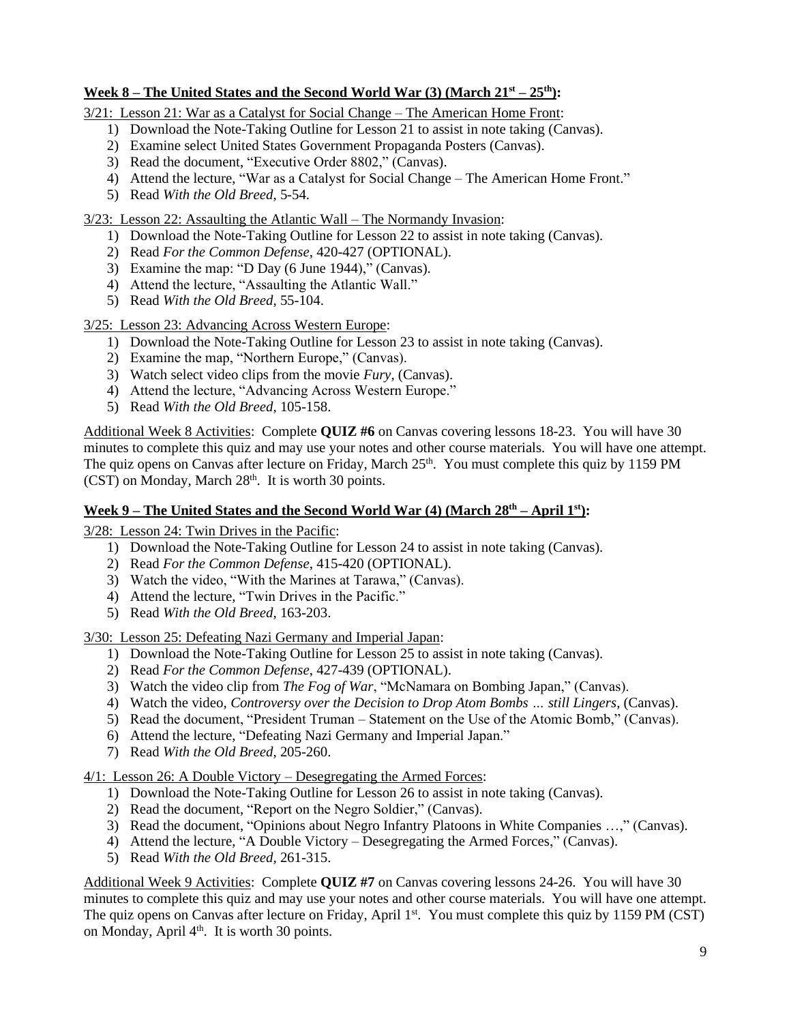## **Week 8** – **The United States and the Second World War (3) (March**  $21<sup>st</sup> - 25<sup>th</sup>$ **):**

3/21: Lesson 21: War as a Catalyst for Social Change – The American Home Front:

- 1) Download the Note-Taking Outline for Lesson 21 to assist in note taking (Canvas).
- 2) Examine select United States Government Propaganda Posters (Canvas).
- 3) Read the document, "Executive Order 8802," (Canvas).
- 4) Attend the lecture, "War as a Catalyst for Social Change The American Home Front."
- 5) Read *With the Old Breed*, 5-54.

#### 3/23: Lesson 22: Assaulting the Atlantic Wall – The Normandy Invasion:

- 1) Download the Note-Taking Outline for Lesson 22 to assist in note taking (Canvas).
- 2) Read *For the Common Defense*, 420-427 (OPTIONAL).
- 3) Examine the map: "D Day (6 June 1944)," (Canvas).
- 4) Attend the lecture, "Assaulting the Atlantic Wall."
- 5) Read *With the Old Breed*, 55-104.

3/25: Lesson 23: Advancing Across Western Europe:

- 1) Download the Note-Taking Outline for Lesson 23 to assist in note taking (Canvas).
- 2) Examine the map, "Northern Europe," (Canvas).
- 3) Watch select video clips from the movie *Fury*, (Canvas).
- 4) Attend the lecture, "Advancing Across Western Europe."
- 5) Read *With the Old Breed*, 105-158.

Additional Week 8 Activities: Complete **QUIZ #6** on Canvas covering lessons 18-23. You will have 30 minutes to complete this quiz and may use your notes and other course materials. You will have one attempt. The quiz opens on Canvas after lecture on Friday, March 25<sup>th</sup>. You must complete this quiz by 1159 PM  $(CST)$  on Monday, March  $28<sup>th</sup>$ . It is worth 30 points.

### **Week 9 – The United States and the Second World War (4) (March 28 th – April 1st):**

3/28: Lesson 24: Twin Drives in the Pacific:

- 1) Download the Note-Taking Outline for Lesson 24 to assist in note taking (Canvas).
- 2) Read *For the Common Defense*, 415-420 (OPTIONAL).
- 3) Watch the video, "With the Marines at Tarawa," (Canvas).
- 4) Attend the lecture, "Twin Drives in the Pacific."
- 5) Read *With the Old Breed*, 163-203.

3/30: Lesson 25: Defeating Nazi Germany and Imperial Japan:

- 1) Download the Note-Taking Outline for Lesson 25 to assist in note taking (Canvas).
- 2) Read *For the Common Defense*, 427-439 (OPTIONAL).
- 3) Watch the video clip from *The Fog of War*, "McNamara on Bombing Japan," (Canvas).
- 4) Watch the video, *Controversy over the Decision to Drop Atom Bombs … still Lingers*, (Canvas).
- 5) Read the document, "President Truman Statement on the Use of the Atomic Bomb," (Canvas).
- 6) Attend the lecture, "Defeating Nazi Germany and Imperial Japan."
- 7) Read *With the Old Breed*, 205-260.

#### 4/1: Lesson 26: A Double Victory – Desegregating the Armed Forces:

- 1) Download the Note-Taking Outline for Lesson 26 to assist in note taking (Canvas).
- 2) Read the document, "Report on the Negro Soldier," (Canvas).
- 3) Read the document, "Opinions about Negro Infantry Platoons in White Companies …," (Canvas).
- 4) Attend the lecture, "A Double Victory Desegregating the Armed Forces," (Canvas).
- 5) Read *With the Old Breed*, 261-315.

Additional Week 9 Activities: Complete **QUIZ #7** on Canvas covering lessons 24-26. You will have 30 minutes to complete this quiz and may use your notes and other course materials. You will have one attempt. The quiz opens on Canvas after lecture on Friday, April 1<sup>st</sup>. You must complete this quiz by 1159 PM (CST) on Monday, April  $4<sup>th</sup>$ . It is worth 30 points.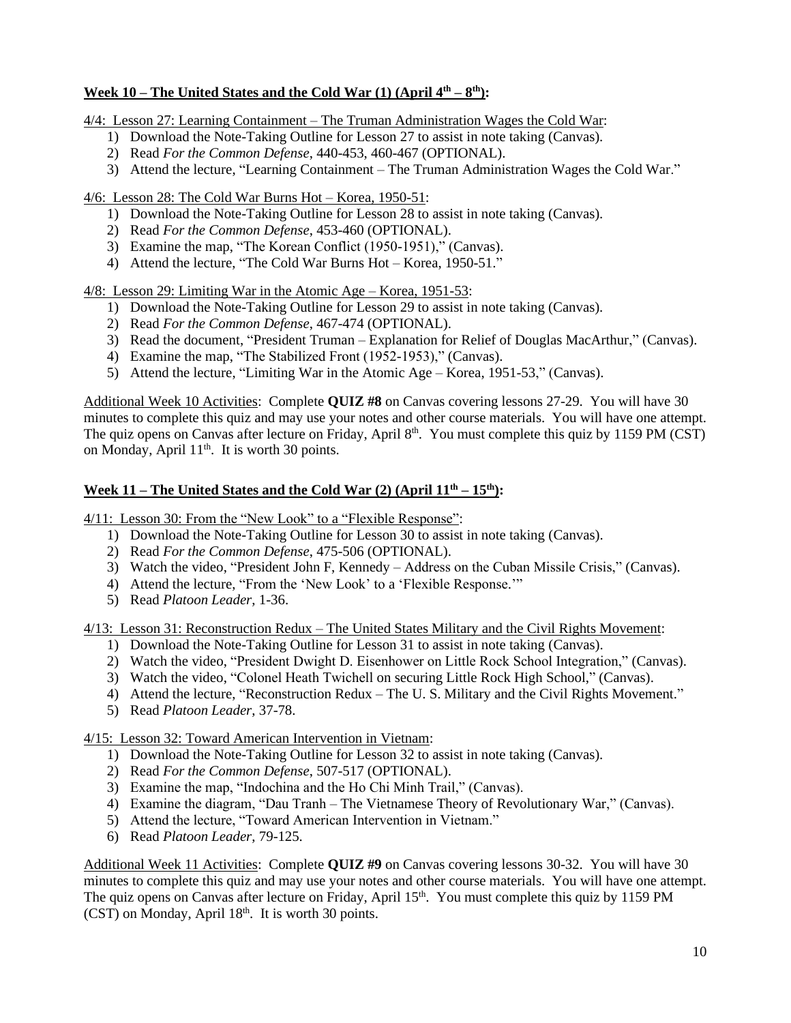## **Week 10 – The United States and the Cold War (1) (April 4th – 8 th):**

4/4: Lesson 27: Learning Containment – The Truman Administration Wages the Cold War:

- 1) Download the Note-Taking Outline for Lesson 27 to assist in note taking (Canvas).
- 2) Read *For the Common Defense*, 440-453, 460-467 (OPTIONAL).
- 3) Attend the lecture, "Learning Containment The Truman Administration Wages the Cold War."

4/6: Lesson 28: The Cold War Burns Hot – Korea, 1950-51:

- 1) Download the Note-Taking Outline for Lesson 28 to assist in note taking (Canvas).
- 2) Read *For the Common Defense*, 453-460 (OPTIONAL).
- 3) Examine the map, "The Korean Conflict (1950-1951)," (Canvas).
- 4) Attend the lecture, "The Cold War Burns Hot Korea, 1950-51."

4/8: Lesson 29: Limiting War in the Atomic Age – Korea, 1951-53:

- 1) Download the Note-Taking Outline for Lesson 29 to assist in note taking (Canvas).
- 2) Read *For the Common Defense*, 467-474 (OPTIONAL).
- 3) Read the document, "President Truman Explanation for Relief of Douglas MacArthur," (Canvas).
- 4) Examine the map, "The Stabilized Front (1952-1953)," (Canvas).
- 5) Attend the lecture, "Limiting War in the Atomic Age Korea, 1951-53," (Canvas).

Additional Week 10 Activities: Complete **QUIZ #8** on Canvas covering lessons 27-29. You will have 30 minutes to complete this quiz and may use your notes and other course materials. You will have one attempt. The quiz opens on Canvas after lecture on Friday, April 8<sup>th</sup>. You must complete this quiz by 1159 PM (CST) on Monday, April 11<sup>th</sup>. It is worth 30 points.

## **Week 11 – The United States and the Cold War (2) (April 11th – 15 th):**

4/11: Lesson 30: From the "New Look" to a "Flexible Response":

- 1) Download the Note-Taking Outline for Lesson 30 to assist in note taking (Canvas).
- 2) Read *For the Common Defense*, 475-506 (OPTIONAL).
- 3) Watch the video, "President John F, Kennedy Address on the Cuban Missile Crisis," (Canvas).
- 4) Attend the lecture, "From the 'New Look' to a 'Flexible Response.'"
- 5) Read *Platoon Leader*, 1-36.

4/13: Lesson 31: Reconstruction Redux – The United States Military and the Civil Rights Movement:

- 1) Download the Note-Taking Outline for Lesson 31 to assist in note taking (Canvas).
- 2) Watch the video, "President Dwight D. Eisenhower on Little Rock School Integration," (Canvas).
- 3) Watch the video, "Colonel Heath Twichell on securing Little Rock High School," (Canvas).
- 4) Attend the lecture, "Reconstruction Redux The U. S. Military and the Civil Rights Movement."
- 5) Read *Platoon Leader*, 37-78.

4/15: Lesson 32: Toward American Intervention in Vietnam:

- 1) Download the Note-Taking Outline for Lesson 32 to assist in note taking (Canvas).
- 2) Read *For the Common Defense*, 507-517 (OPTIONAL).
- 3) Examine the map, "Indochina and the Ho Chi Minh Trail," (Canvas).
- 4) Examine the diagram, "Dau Tranh The Vietnamese Theory of Revolutionary War," (Canvas).
- 5) Attend the lecture, "Toward American Intervention in Vietnam."
- 6) Read *Platoon Leader*, 79-125.

Additional Week 11 Activities: Complete **QUIZ #9** on Canvas covering lessons 30-32. You will have 30 minutes to complete this quiz and may use your notes and other course materials. You will have one attempt. The quiz opens on Canvas after lecture on Friday, April 15<sup>th</sup>. You must complete this quiz by 1159 PM (CST) on Monday, April 18<sup>th</sup>. It is worth 30 points.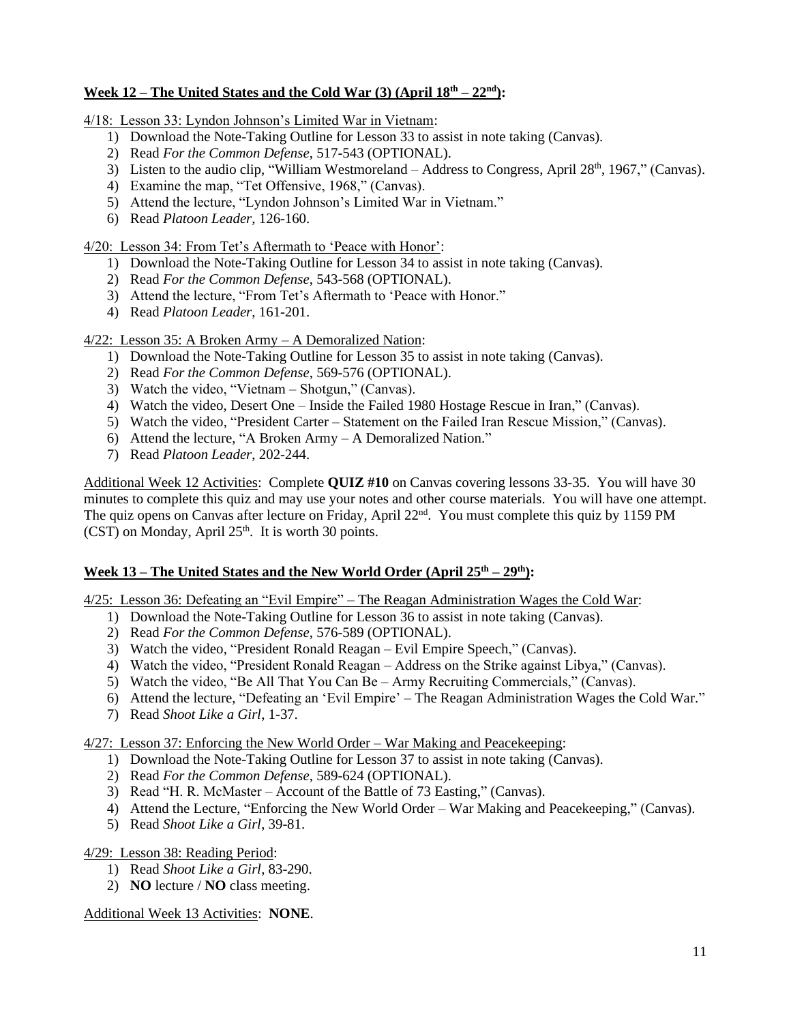## **Week 12 – The United States and the Cold War (3) (April 18 th – 22nd):**

4/18: Lesson 33: Lyndon Johnson's Limited War in Vietnam:

- 1) Download the Note-Taking Outline for Lesson 33 to assist in note taking (Canvas).
- 2) Read *For the Common Defense*, 517-543 (OPTIONAL).
- 3) Listen to the audio clip, "William Westmoreland Address to Congress, April 28<sup>th</sup>, 1967," (Canvas).
- 4) Examine the map, "Tet Offensive, 1968," (Canvas).
- 5) Attend the lecture, "Lyndon Johnson's Limited War in Vietnam."
- 6) Read *Platoon Leader*, 126-160.

4/20: Lesson 34: From Tet's Aftermath to 'Peace with Honor':

- 1) Download the Note-Taking Outline for Lesson 34 to assist in note taking (Canvas).
- 2) Read *For the Common Defense*, 543-568 (OPTIONAL).
- 3) Attend the lecture, "From Tet's Aftermath to 'Peace with Honor."
- 4) Read *Platoon Leader*, 161-201.

4/22: Lesson 35: A Broken Army – A Demoralized Nation:

- 1) Download the Note-Taking Outline for Lesson 35 to assist in note taking (Canvas).
- 2) Read *For the Common Defense*, 569-576 (OPTIONAL).
- 3) Watch the video, "Vietnam Shotgun," (Canvas).
- 4) Watch the video, Desert One Inside the Failed 1980 Hostage Rescue in Iran," (Canvas).
- 5) Watch the video, "President Carter Statement on the Failed Iran Rescue Mission," (Canvas).
- 6) Attend the lecture, "A Broken Army A Demoralized Nation."
- 7) Read *Platoon Leader*, 202-244.

Additional Week 12 Activities: Complete **QUIZ #10** on Canvas covering lessons 33-35. You will have 30 minutes to complete this quiz and may use your notes and other course materials. You will have one attempt. The quiz opens on Canvas after lecture on Friday, April 22<sup>nd</sup>. You must complete this quiz by 1159 PM  $(CST)$  on Monday, April  $25<sup>th</sup>$ . It is worth 30 points.

## **Week 13 – The United States and the New World Order (April 25th – 29 th):**

4/25: Lesson 36: Defeating an "Evil Empire" – The Reagan Administration Wages the Cold War:

- 1) Download the Note-Taking Outline for Lesson 36 to assist in note taking (Canvas).
- 2) Read *For the Common Defense*, 576-589 (OPTIONAL).
- 3) Watch the video, "President Ronald Reagan Evil Empire Speech," (Canvas).
- 4) Watch the video, "President Ronald Reagan Address on the Strike against Libya," (Canvas).
- 5) Watch the video, "Be All That You Can Be Army Recruiting Commercials," (Canvas).
- 6) Attend the lecture, "Defeating an 'Evil Empire' The Reagan Administration Wages the Cold War."
- 7) Read *Shoot Like a Girl*, 1-37.

4/27: Lesson 37: Enforcing the New World Order – War Making and Peacekeeping:

- 1) Download the Note-Taking Outline for Lesson 37 to assist in note taking (Canvas).
- 2) Read *For the Common Defense*, 589-624 (OPTIONAL).
- 3) Read "H. R. McMaster Account of the Battle of 73 Easting," (Canvas).
- 4) Attend the Lecture, "Enforcing the New World Order War Making and Peacekeeping," (Canvas).
- 5) Read *Shoot Like a Girl*, 39-81.

4/29: Lesson 38: Reading Period:

- 1) Read *Shoot Like a Girl*, 83-290.
- 2) **NO** lecture / **NO** class meeting.

Additional Week 13 Activities: **NONE**.